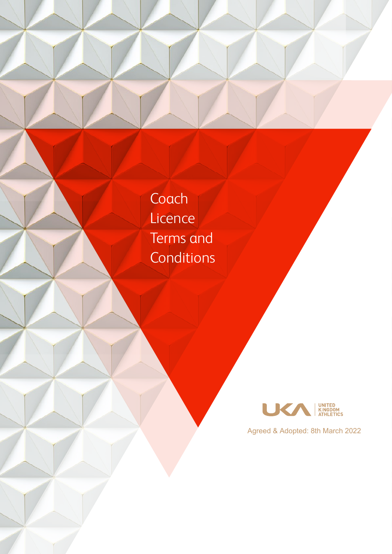Coach **Licence** Terms and **Conditions** 



Agreed & Adopted: 8th March 2022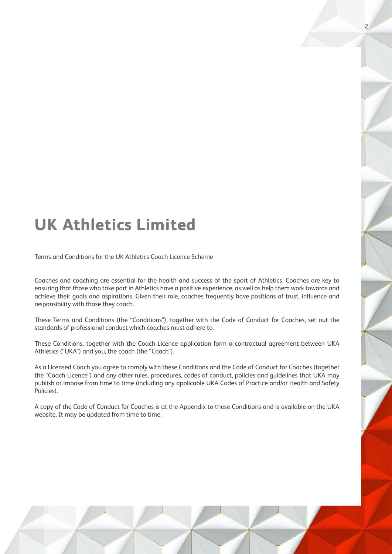# **UK Athletics Limited**

Terms and Conditions for the UK Athletics Coach Licence Scheme

Coaches and coaching are essential for the health and success of the sport of Athletics. Coaches are key to ensuring that those who take part in Athletics have a positive experience, as well as help them work towards and achieve their goals and aspirations. Given their role, coaches frequently have positions of trust, influence and responsibility with those they coach.

These Terms and Conditions (the "Conditions"), together with the Code of Conduct for Coaches, set out the standards of professional conduct which coaches must adhere to.

These Conditions, together with the Coach Licence application form a contractual agreement between UKA Athletics ("UKA") and you, the coach (the "Coach").

As a Licensed Coach you agree to comply with these Conditions and the Code of Conduct for Coaches (together the "Coach Licence") and any other rules, procedures, codes of conduct, policies and guidelines that UKA may publish or impose from time to time (including any applicable UKA Codes of Practice and/or Health and Safety Policies).

A copy of the Code of Conduct for Coaches is at the Appendix to these Conditions and is available on the UKA website. It may be updated from time to time.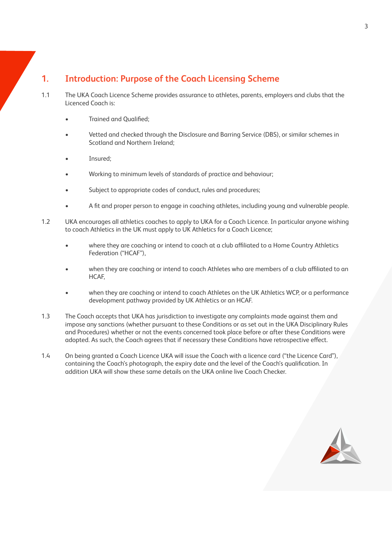# **1. Introduction: Purpose of the Coach Licensing Scheme**

- 1.1 The UKA Coach Licence Scheme provides assurance to athletes, parents, employers and clubs that the Licenced Coach is:
	- Trained and Qualified;
	- Vetted and checked through the Disclosure and Barring Service (DBS), or similar schemes in Scotland and Northern Ireland;
	- Insured:
	- Working to minimum levels of standards of practice and behaviour;
	- Subject to appropriate codes of conduct, rules and procedures;
	- A fit and proper person to engage in coaching athletes, including young and vulnerable people.
- 1.2 UKA encourages all athletics coaches to apply to UKA for a Coach Licence. In particular anyone wishing to coach Athletics in the UK must apply to UK Athletics for a Coach Licence;
	- where they are coaching or intend to coach at a club affiliated to a Home Country Athletics Federation ("HCAF"),
	- when they are coaching or intend to coach Athletes who are members of a club affiliated to an HCAF,
	- when they are coaching or intend to coach Athletes on the UK Athletics WCP, or a performance development pathway provided by UK Athletics or an HCAF.
- 1.3 The Coach accepts that UKA has jurisdiction to investigate any complaints made against them and impose any sanctions (whether pursuant to these Conditions or as set out in the UKA Disciplinary Rules and Procedures) whether or not the events concerned took place before or after these Conditions were adopted. As such, the Coach agrees that if necessary these Conditions have retrospective effect.
- 1.4 On being granted a Coach Licence UKA will issue the Coach with a licence card ("the Licence Card"), containing the Coach's photograph, the expiry date and the level of the Coach's qualification. In addition UKA will show these same details on the UKA online live Coach Checker.

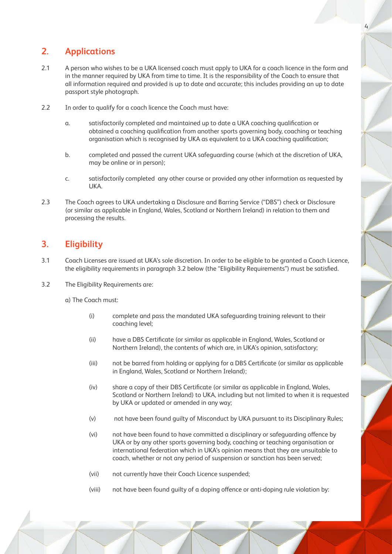## **2. Applications**

- 2.1 A person who wishes to be a UKA licensed coach must apply to UKA for a coach licence in the form and in the manner required by UKA from time to time. It is the responsibility of the Coach to ensure that all information required and provided is up to date and accurate; this includes providing an up to date passport style photograph.
- 2.2 In order to qualify for a coach licence the Coach must have:
	- a. satisfactorily completed and maintained up to date a UKA coaching qualification or obtained a coaching qualification from another sports governing body, coaching or teaching organisation which is recognised by UKA as equivalent to a UKA coaching qualification;
	- b. completed and passed the current UKA safeguarding course (which at the discretion of UKA, may be online or in person);
	- c. satisfactorily completed any other course or provided any other information as requested by UKA.
- 2.3 The Coach agrees to UKA undertaking a Disclosure and Barring Service ("DBS") check or Disclosure (or similar as applicable in England, Wales, Scotland or Northern Ireland) in relation to them and processing the results.

## **3. Eligibility**

- 3.1 Coach Licenses are issued at UKA's sole discretion. In order to be eligible to be granted a Coach Licence, the eligibility requirements in paragraph 3.2 below (the "Eligibility Requirements") must be satisfied.
- 3.2 The Eligibility Requirements are:

a) The Coach must:

- (i) complete and pass the mandated UKA safeguarding training relevant to their coaching level;
- (ii) have a DBS Certificate (or similar as applicable in England, Wales, Scotland or Northern Ireland), the contents of which are, in UKA's opinion, satisfactory;
- (iii) not be barred from holding or applying for a DBS Certificate (or similar as applicable in England, Wales, Scotland or Northern Ireland);
- (iv) share a copy of their DBS Certificate (or similar as applicable in England, Wales, Scotland or Northern Ireland) to UKA, including but not limited to when it is requested by UKA or updated or amended in any way;
- (v) not have been found guilty of Misconduct by UKA pursuant to its Disciplinary Rules;
- (vi) not have been found to have committed a disciplinary or safeguarding offence by UKA or by any other sports governing body, coaching or teaching organisation or international federation which in UKA's opinion means that they are unsuitable to coach, whether or not any period of suspension or sanction has been served;
- (vii) not currently have their Coach Licence suspended;
- (viii) not have been found guilty of a doping offence or anti-doping rule violation by: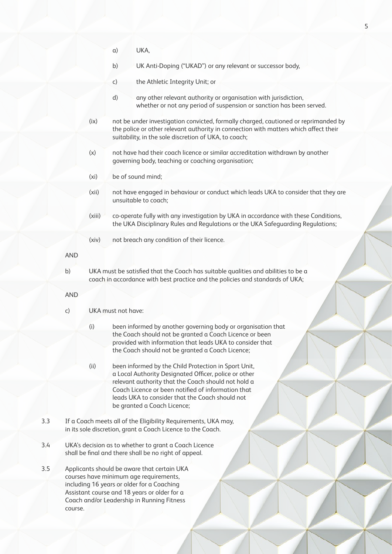a) UKA,

b) UK Anti-Doping ("UKAD") or any relevant or successor body,

- c) the Athletic Integrity Unit; or
- d) any other relevant authority or organisation with jurisdiction, whether or not any period of suspension or sanction has been served.
- (ix) not be under investigation convicted, formally charged, cautioned or reprimanded by the police or other relevant authority in connection with matters which affect their suitability, in the sole discretion of UKA, to coach;
- (x) not have had their coach licence or similar accreditation withdrawn by another governing body, teaching or coaching organisation;
- (xi) be of sound mind;
- (xii) not have engaged in behaviour or conduct which leads UKA to consider that they are unsuitable to coach;
- (xiii) co-operate fully with any investigation by UKA in accordance with these Conditions, the UKA Disciplinary Rules and Regulations or the UKA Safeguarding Regulations;
- (xiv) not breach any condition of their licence.

AND

b) UKA must be satisfied that the Coach has suitable qualities and abilities to be a coach in accordance with best practice and the policies and standards of UKA;

AND

- c) UKA must not have:
	- (i) been informed by another governing body or organisation that the Coach should not be granted a Coach Licence or been provided with information that leads UKA to consider that the Coach should not be granted a Coach Licence;
	- (ii) been informed by the Child Protection in Sport Unit, a Local Authority Designated Officer, police or other relevant authority that the Coach should not hold a Coach Licence or been notified of information that leads UKA to consider that the Coach should not be granted a Coach Licence;
- 3.3 If a Coach meets all of the Eligibility Requirements, UKA may, in its sole discretion, grant a Coach Licence to the Coach.
- 3.4 UKA's decision as to whether to grant a Coach Licence shall be final and there shall be no right of appeal.
- 3.5 Applicants should be aware that certain UKA courses have minimum age requirements, including 16 years or older for a Coaching Assistant course and 18 years or older for a Coach and/or Leadership in Running Fitness course.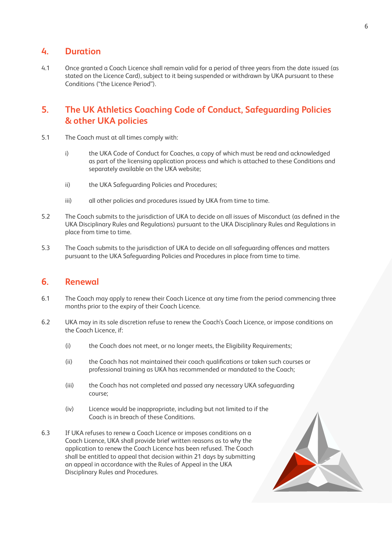#### **4. Duration**

4.1 Once granted a Coach Licence shall remain valid for a period of three years from the date issued (as stated on the Licence Card), subject to it being suspended or withdrawn by UKA pursuant to these Conditions ("the Licence Period").

### **5. The UK Athletics Coaching Code of Conduct, Safeguarding Policies & other UKA policies**

- 5.1 The Coach must at all times comply with:
	- i) the UKA Code of Conduct for Coaches, a copy of which must be read and acknowledged as part of the licensing application process and which is attached to these Conditions and separately available on the UKA website;
	- ii) the UKA Safeguarding Policies and Procedures;
	- iii) all other policies and procedures issued by UKA from time to time.
- 5.2 The Coach submits to the jurisdiction of UKA to decide on all issues of Misconduct (as defined in the UKA Disciplinary Rules and Regulations) pursuant to the UKA Disciplinary Rules and Regulations in place from time to time.
- 5.3 The Coach submits to the jurisdiction of UKA to decide on all safeguarding offences and matters pursuant to the UKA Safeguarding Policies and Procedures in place from time to time.

#### **6. Renewal**

- 6.1 The Coach may apply to renew their Coach Licence at any time from the period commencing three months prior to the expiry of their Coach Licence.
- 6.2 UKA may in its sole discretion refuse to renew the Coach's Coach Licence, or impose conditions on the Coach Licence, if:
	- (i) the Coach does not meet, or no longer meets, the Eligibility Requirements;
	- (ii) the Coach has not maintained their coach qualifications or taken such courses or professional training as UKA has recommended or mandated to the Coach;
	- (iii) the Coach has not completed and passed any necessary UKA safeguarding course;
	- (iv) Licence would be inappropriate, including but not limited to if the Coach is in breach of these Conditions.
- 6.3 If UKA refuses to renew a Coach Licence or imposes conditions on a Coach Licence, UKA shall provide brief written reasons as to why the application to renew the Coach Licence has been refused. The Coach shall be entitled to appeal that decision within 21 days by submitting an appeal in accordance with the Rules of Appeal in the UKA Disciplinary Rules and Procedures.

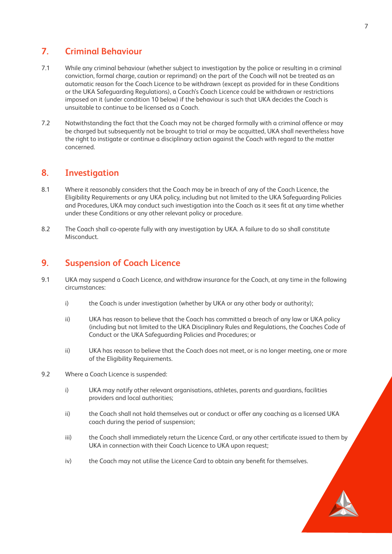## **7. Criminal Behaviour**

- 7.1 While any criminal behaviour (whether subject to investigation by the police or resulting in a criminal conviction, formal charge, caution or reprimand) on the part of the Coach will not be treated as an automatic reason for the Coach Licence to be withdrawn (except as provided for in these Conditions or the UKA Safeguarding Regulations), a Coach's Coach Licence could be withdrawn or restrictions imposed on it (under condition 10 below) if the behaviour is such that UKA decides the Coach is unsuitable to continue to be licensed as a Coach.
- 7.2 Notwithstanding the fact that the Coach may not be charged formally with a criminal offence or may be charged but subsequently not be brought to trial or may be acquitted, UKA shall nevertheless have the right to instigate or continue a disciplinary action against the Coach with regard to the matter concerned.

## **8. Investigation**

- 8.1 Where it reasonably considers that the Coach may be in breach of any of the Coach Licence, the Eligibility Requirements or any UKA policy, including but not limited to the UKA Safeguarding Policies and Procedures, UKA may conduct such investigation into the Coach as it sees fit at any time whether under these Conditions or any other relevant policy or procedure.
- 8.2 The Coach shall co-operate fully with any investigation by UKA. A failure to do so shall constitute **Misconduct**

#### **9. Suspension of Coach Licence**

- 9.1 UKA may suspend a Coach Licence, and withdraw insurance for the Coach, at any time in the following circumstances:
	- i) the Coach is under investigation (whether by UKA or any other body or authority);
	- ii) UKA has reason to believe that the Coach has committed a breach of any law or UKA policy (including but not limited to the UKA Disciplinary Rules and Regulations, the Coaches Code of Conduct or the UKA Safeguarding Policies and Procedures; or
	- ii) UKA has reason to believe that the Coach does not meet, or is no longer meeting, one or more of the Eligibility Requirements.
- 9.2 Where a Coach Licence is suspended:
	- i) UKA may notify other relevant organisations, athletes, parents and guardians, facilities providers and local authorities;
	- ii) the Coach shall not hold themselves out or conduct or offer any coaching as a licensed UKA coach during the period of suspension;
	- iii) the Coach shall immediately return the Licence Card, or any other certificate issued to them by UKA in connection with their Coach Licence to UKA upon request;
	- iv) the Coach may not utilise the Licence Card to obtain any benefit for themselves.

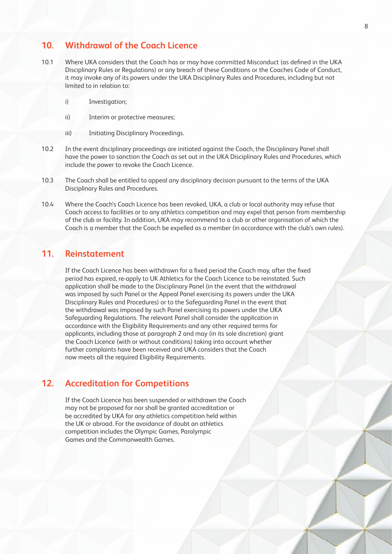#### **10. Withdrawal of the Coach Licence**

- 10.1 Where UKA considers that the Coach has or may have committed Misconduct (as defined in the UKA Disciplinary Rules or Regulations) or any breach of these Conditions or the Coaches Code of Conduct, it may invoke any of its powers under the UKA Disciplinary Rules and Procedures, including but not limited to in relation to:
	- i) Investigation;
	- ii) Interim or protective measures;
	- iii) Initiating Disciplinary Proceedings.
- 10.2 In the event disciplinary proceedings are initiated against the Coach, the Disciplinary Panel shall have the power to sanction the Coach as set out in the UKA Disciplinary Rules and Procedures, which include the power to revoke the Coach Licence.
- 10.3 The Coach shall be entitled to appeal any disciplinary decision pursuant to the terms of the UKA Disciplinary Rules and Procedures.
- 10.4 Where the Coach's Coach Licence has been revoked, UKA, a club or local authority may refuse that Coach access to facilities or to any athletics competition and may expel that person from membership of the club or facility. In addition, UKA may recommend to a club or other organisation of which the Coach is a member that the Coach be expelled as a member (in accordance with the club's own rules).

#### **11. Reinstatement**

If the Coach Licence has been withdrawn for a fixed period the Coach may, after the fixed period has expired, re-apply to UK Athletics for the Coach Licence to be reinstated. Such application shall be made to the Disciplinary Panel (in the event that the withdrawal was imposed by such Panel or the Appeal Panel exercising its powers under the UKA Disciplinary Rules and Procedures) or to the Safeguarding Panel in the event that the withdrawal was imposed by such Panel exercising its powers under the UKA Safeguarding Regulations. The relevant Panel shall consider the application in accordance with the Eligibility Requirements and any other required terms for applicants, including those at paragraph 2 and may (in its sole discretion) grant the Coach Licence (with or without conditions) taking into account whether further complaints have been received and UKA considers that the Coach now meets all the required Eligibility Requirements.

#### **12. Accreditation for Competitions**

 If the Coach Licence has been suspended or withdrawn the Coach may not be proposed for nor shall be granted accreditation or be accredited by UKA for any athletics competition held within the UK or abroad. For the avoidance of doubt an athletics competition includes the Olympic Games, Paralympic Games and the Commonwealth Games.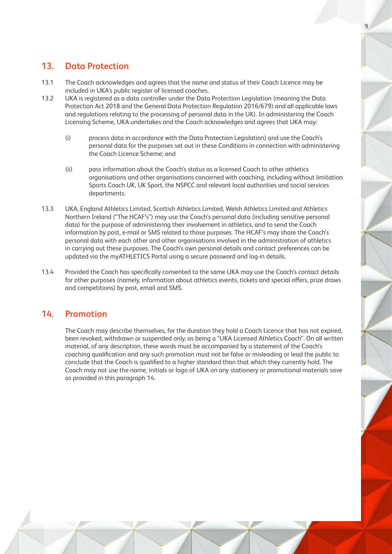### **13. Data Protection**

- 13.1 The Coach acknowledges and agrees that the name and status of their Coach Licence may be included in UKA's public register of licensed coaches.
- 13.2 UKA is registered as a data controller under the Data Protection Legislation (meaning the Data Protection Act 2018 and the General Data Protection Regulation 2016/679) and all applicable laws and regulations relating to the processing of personal data in the UK). In administering the Coach Licensing Scheme, UKA undertakes and the Coach acknowledges and agrees that UKA may:
	- (i) process data in accordance with the Data Protection Legislation) and use the Coach's personal data for the purposes set out in these Conditions in connection with administering the Coach Licence Scheme; and
	- (ii) pass information about the Coach's status as a licensed Coach to other athletics organisations and other organisations concerned with coaching, including without limitation Sports Coach UK, UK Sport, the NSPCC and relevant local authorities and social services departments.
- 13.3 UKA, England Athletics Limited, Scottish Athletics Limited, Welsh Athletics Limited and Athletics Northern Ireland ("The HCAF's") may use the Coach's personal data (including sensitive personal data) for the purpose of administering their involvement in athletics, and to send the Coach information by post, e-mail or SMS related to those purposes. The HCAF's may share the Coach's personal data with each other and other organisations involved in the administration of athletics in carrying out these purposes. The Coach's own personal details and contact preferences can be updated via the myATHLETICS Portal using a secure password and log-in details.
- 13.4 Provided the Coach has specifically consented to the same UKA may use the Coach's contact details for other purposes (namely, information about athletics events, tickets and special offers, prize draws and competitions) by post, email and SMS.

#### **14. Promotion**

 The Coach may describe themselves, for the duration they hold a Coach Licence that has not expired, been revoked, withdrawn or suspended only, as being a "UKA Licensed Athletics Coach". On all written material, of any description, these words must be accompanied by a statement of the Coach's coaching qualification and any such promotion must not be false or misleading or lead the public to conclude that the Coach is qualified to a higher standard than that which they currently hold. The Coach may not use the name, initials or logo of UKA on any stationery or promotional materials save as provided in this paragraph 14.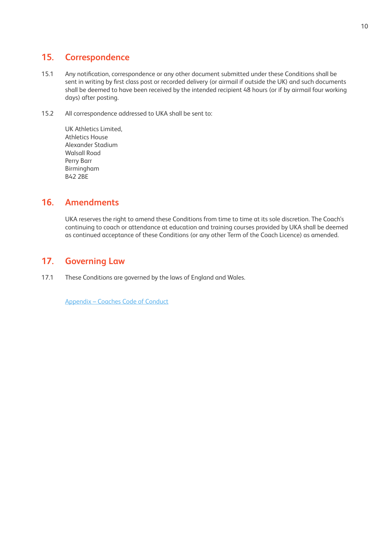## **15. Correspondence**

- 15.1 Any notification, correspondence or any other document submitted under these Conditions shall be sent in writing by first class post or recorded delivery (or airmail if outside the UK) and such documents shall be deemed to have been received by the intended recipient 48 hours (or if by airmail four working days) after posting.
- 15.2 All correspondence addressed to UKA shall be sent to:

 UK Athletics Limited, Athletics House Alexander Stadium Walsall Road Perry Barr Birmingham B42 2BE

## **16. Amendments**

 UKA reserves the right to amend these Conditions from time to time at its sole discretion. The Coach's continuing to coach or attendance at education and training courses provided by UKA shall be deemed as continued acceptance of these Conditions (or any other Term of the Coach Licence) as amended.

# **17. Governing Law**

17.1 These Conditions are governed by the laws of England and Wales.

[Appendix – Coaches Code of Conduct](https://www.uka.org.uk/wp-content/uploads/2021/06/codes-of-conduct-coaches.pdf)